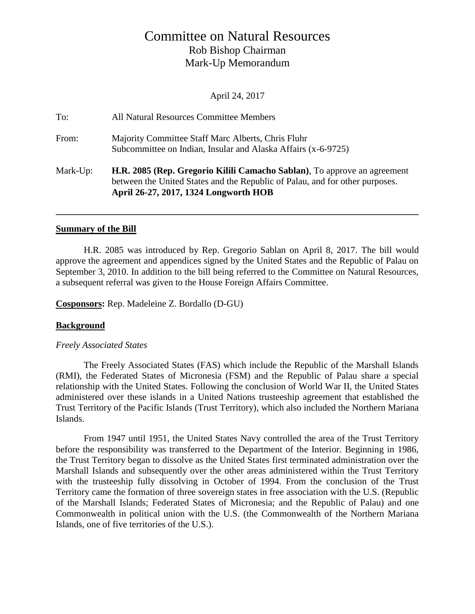# Committee on Natural Resources Rob Bishop Chairman Mark-Up Memorandum

April 24, 2017

| To:      | All Natural Resources Committee Members                                                                                                                                                           |
|----------|---------------------------------------------------------------------------------------------------------------------------------------------------------------------------------------------------|
| From:    | Majority Committee Staff Marc Alberts, Chris Fluhr<br>Subcommittee on Indian, Insular and Alaska Affairs (x-6-9725)                                                                               |
| Mark-Up: | H.R. 2085 (Rep. Gregorio Kilili Camacho Sablan), To approve an agreement<br>between the United States and the Republic of Palau, and for other purposes.<br>April 26-27, 2017, 1324 Longworth HOB |

### **Summary of the Bill**

H.R. 2085 was introduced by Rep. Gregorio Sablan on April 8, 2017. The bill would approve the agreement and appendices signed by the United States and the Republic of Palau on September 3, 2010. In addition to the bill being referred to the Committee on Natural Resources, a subsequent referral was given to the House Foreign Affairs Committee.

**\_\_\_\_\_\_\_\_\_\_\_\_\_\_\_\_\_\_\_\_\_\_\_\_\_\_\_\_\_\_\_\_\_\_\_\_\_\_\_\_\_\_\_\_\_\_\_\_\_\_\_\_\_\_\_\_\_\_\_\_\_\_\_\_\_\_\_\_\_\_\_\_\_\_\_\_\_\_**

**Cosponsors:** Rep. Madeleine Z. Bordallo (D-GU)

### **Background**

### *Freely Associated States*

The Freely Associated States (FAS) which include the Republic of the Marshall Islands (RMI), the Federated States of Micronesia (FSM) and the Republic of Palau share a special relationship with the United States. Following the conclusion of World War II, the United States administered over these islands in a United Nations trusteeship agreement that established the Trust Territory of the Pacific Islands (Trust Territory), which also included the Northern Mariana Islands.

From 1947 until 1951, the United States Navy controlled the area of the Trust Territory before the responsibility was transferred to the Department of the Interior. Beginning in 1986, the Trust Territory began to dissolve as the United States first terminated administration over the Marshall Islands and subsequently over the other areas administered within the Trust Territory with the trusteeship fully dissolving in October of 1994. From the conclusion of the Trust Territory came the formation of three sovereign states in free association with the U.S. (Republic of the Marshall Islands; Federated States of Micronesia; and the Republic of Palau) and one Commonwealth in political union with the U.S. (the Commonwealth of the Northern Mariana Islands, one of five territories of the U.S.).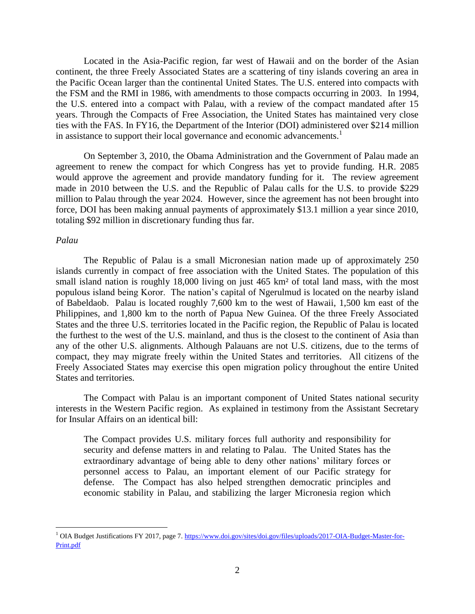Located in the Asia-Pacific region, far west of Hawaii and on the border of the Asian continent, the three Freely Associated States are a scattering of tiny islands covering an area in the Pacific Ocean larger than the continental United States. The U.S. entered into compacts with the FSM and the RMI in 1986, with amendments to those compacts occurring in 2003. In 1994, the U.S. entered into a compact with Palau, with a review of the compact mandated after 15 years. Through the Compacts of Free Association, the United States has maintained very close ties with the FAS. In FY16, the Department of the Interior (DOI) administered over \$214 million in assistance to support their local governance and economic advancements.<sup>1</sup>

On September 3, 2010, the Obama Administration and the Government of Palau made an agreement to renew the compact for which Congress has yet to provide funding. H.R. 2085 would approve the agreement and provide mandatory funding for it. The review agreement made in 2010 between the U.S. and the Republic of Palau calls for the U.S. to provide \$229 million to Palau through the year 2024. However, since the agreement has not been brought into force, DOI has been making annual payments of approximately \$13.1 million a year since 2010, totaling \$92 million in discretionary funding thus far.

#### *Palau*

 $\overline{a}$ 

The Republic of Palau is a small Micronesian nation made up of approximately 250 islands currently in compact of free association with the United States. The population of this small island nation is roughly 18,000 living on just 465 km<sup>2</sup> of total land mass, with the most populous island being Koror. The nation's capital of Ngerulmud is located on the nearby island of Babeldaob. Palau is located roughly 7,600 km to the west of Hawaii, 1,500 km east of the Philippines, and 1,800 km to the north of Papua New Guinea. Of the three Freely Associated States and the three U.S. territories located in the Pacific region, the Republic of Palau is located the furthest to the west of the U.S. mainland, and thus is the closest to the continent of Asia than any of the other U.S. alignments. Although Palauans are not U.S. citizens, due to the terms of compact, they may migrate freely within the United States and territories. All citizens of the Freely Associated States may exercise this open migration policy throughout the entire United States and territories.

The Compact with Palau is an important component of United States national security interests in the Western Pacific region. As explained in testimony from the Assistant Secretary for Insular Affairs on an identical bill:

The Compact provides U.S. military forces full authority and responsibility for security and defense matters in and relating to Palau. The United States has the extraordinary advantage of being able to deny other nations' military forces or personnel access to Palau, an important element of our Pacific strategy for defense. The Compact has also helped strengthen democratic principles and economic stability in Palau, and stabilizing the larger Micronesia region which

<sup>&</sup>lt;sup>1</sup> OIA Budget Justifications FY 2017, page 7. [https://www.doi.gov/sites/doi.gov/files/uploads/2017-OIA-Budget-Master-for-](https://www.doi.gov/sites/doi.gov/files/uploads/2017-OIA-Budget-Master-for-Print.pdf)[Print.pdf](https://www.doi.gov/sites/doi.gov/files/uploads/2017-OIA-Budget-Master-for-Print.pdf)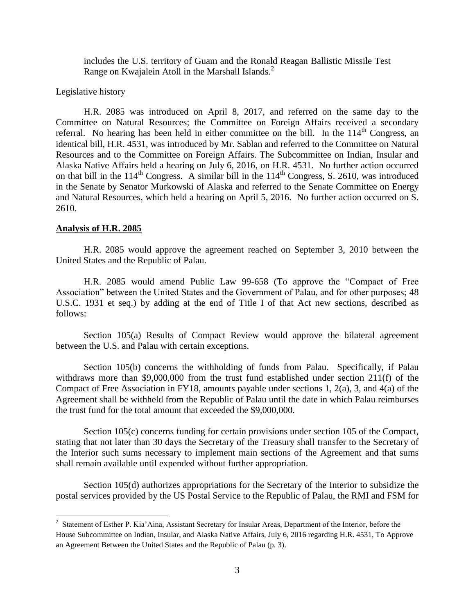includes the U.S. territory of Guam and the Ronald Reagan Ballistic Missile Test Range on Kwajalein Atoll in the Marshall Islands. $<sup>2</sup>$ </sup>

### Legislative history

H.R. 2085 was introduced on April 8, 2017, and referred on the same day to the Committee on Natural Resources; the Committee on Foreign Affairs received a secondary referral. No hearing has been held in either committee on the bill. In the  $114<sup>th</sup>$  Congress, an identical bill, H.R. 4531, was introduced by Mr. Sablan and referred to the Committee on Natural Resources and to the Committee on Foreign Affairs. The Subcommittee on Indian, Insular and Alaska Native Affairs held a hearing on July 6, 2016, on H.R. 4531. No further action occurred on that bill in the  $114<sup>th</sup>$  Congress. A similar bill in the  $114<sup>th</sup>$  Congress, S. 2610, was introduced in the Senate by Senator Murkowski of Alaska and referred to the Senate Committee on Energy and Natural Resources, which held a hearing on April 5, 2016. No further action occurred on S. 2610.

#### **Analysis of H.R. 2085**

 $\overline{a}$ 

H.R. 2085 would approve the agreement reached on September 3, 2010 between the United States and the Republic of Palau.

H.R. 2085 would amend Public Law 99-658 (To approve the "Compact of Free Association" between the United States and the Government of Palau, and for other purposes; 48 U.S.C. 1931 et seq.) by adding at the end of Title I of that Act new sections, described as follows:

Section 105(a) Results of Compact Review would approve the bilateral agreement between the U.S. and Palau with certain exceptions.

Section 105(b) concerns the withholding of funds from Palau. Specifically, if Palau withdraws more than \$9,000,000 from the trust fund established under section 211(f) of the Compact of Free Association in FY18, amounts payable under sections 1, 2(a), 3, and 4(a) of the Agreement shall be withheld from the Republic of Palau until the date in which Palau reimburses the trust fund for the total amount that exceeded the \$9,000,000.

Section 105(c) concerns funding for certain provisions under section 105 of the Compact, stating that not later than 30 days the Secretary of the Treasury shall transfer to the Secretary of the Interior such sums necessary to implement main sections of the Agreement and that sums shall remain available until expended without further appropriation.

Section 105(d) authorizes appropriations for the Secretary of the Interior to subsidize the postal services provided by the US Postal Service to the Republic of Palau, the RMI and FSM for

<sup>&</sup>lt;sup>2</sup> Statement of Esther P. Kia'Aina, Assistant Secretary for Insular Areas, Department of the Interior, before the House Subcommittee on Indian, Insular, and Alaska Native Affairs, July 6, 2016 regarding H.R. 4531, To Approve an Agreement Between the United States and the Republic of Palau (p. 3).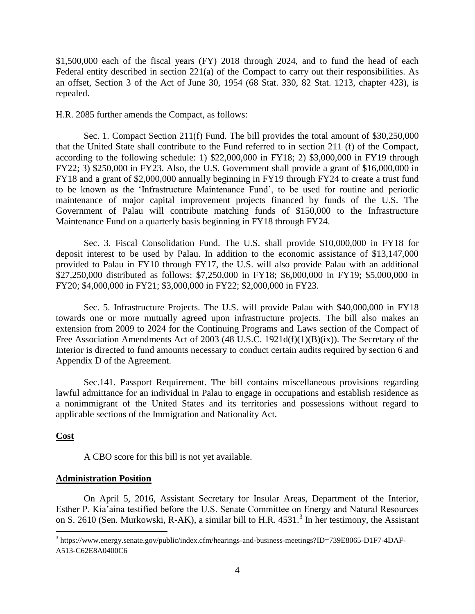\$1,500,000 each of the fiscal years (FY) 2018 through 2024, and to fund the head of each Federal entity described in section 221(a) of the Compact to carry out their responsibilities. As an offset, Section 3 of the Act of June 30, 1954 (68 Stat. 330, 82 Stat. 1213, chapter 423), is repealed.

H.R. 2085 further amends the Compact, as follows:

Sec. 1. Compact Section 211(f) Fund. The bill provides the total amount of \$30,250,000 that the United State shall contribute to the Fund referred to in section 211 (f) of the Compact, according to the following schedule: 1) \$22,000,000 in FY18; 2) \$3,000,000 in FY19 through FY22; 3) \$250,000 in FY23. Also, the U.S. Government shall provide a grant of \$16,000,000 in FY18 and a grant of \$2,000,000 annually beginning in FY19 through FY24 to create a trust fund to be known as the 'Infrastructure Maintenance Fund', to be used for routine and periodic maintenance of major capital improvement projects financed by funds of the U.S. The Government of Palau will contribute matching funds of \$150,000 to the Infrastructure Maintenance Fund on a quarterly basis beginning in FY18 through FY24.

Sec. 3. Fiscal Consolidation Fund. The U.S. shall provide \$10,000,000 in FY18 for deposit interest to be used by Palau. In addition to the economic assistance of \$13,147,000 provided to Palau in FY10 through FY17, the U.S. will also provide Palau with an additional \$27,250,000 distributed as follows: \$7,250,000 in FY18; \$6,000,000 in FY19; \$5,000,000 in FY20; \$4,000,000 in FY21; \$3,000,000 in FY22; \$2,000,000 in FY23.

Sec. 5. Infrastructure Projects. The U.S. will provide Palau with \$40,000,000 in FY18 towards one or more mutually agreed upon infrastructure projects. The bill also makes an extension from 2009 to 2024 for the Continuing Programs and Laws section of the Compact of Free Association Amendments Act of 2003 (48 U.S.C. 1921d(f)(1)(B)(ix)). The Secretary of the Interior is directed to fund amounts necessary to conduct certain audits required by section 6 and Appendix D of the Agreement.

Sec.141. Passport Requirement. The bill contains miscellaneous provisions regarding lawful admittance for an individual in Palau to engage in occupations and establish residence as a nonimmigrant of the United States and its territories and possessions without regard to applicable sections of the Immigration and Nationality Act.

### **Cost**

 $\overline{a}$ 

A CBO score for this bill is not yet available.

### **Administration Position**

On April 5, 2016, Assistant Secretary for Insular Areas, Department of the Interior, Esther P. Kia'aina testified before the U.S. Senate Committee on Energy and Natural Resources on S. 2610 (Sen. Murkowski, R-AK), a similar bill to H.R. 4531.<sup>3</sup> In her testimony, the Assistant

<sup>&</sup>lt;sup>3</sup> https://www.energy.senate.gov/public/index.cfm/hearings-and-business-meetings?ID=739E8065-D1F7-4DAF-A513-C62E8A0400C6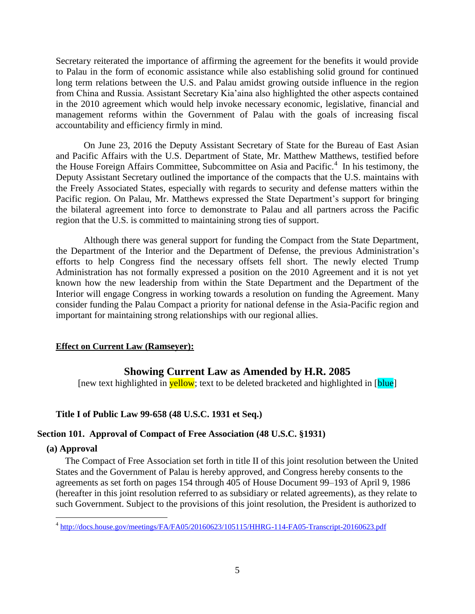Secretary reiterated the importance of affirming the agreement for the benefits it would provide to Palau in the form of economic assistance while also establishing solid ground for continued long term relations between the U.S. and Palau amidst growing outside influence in the region from China and Russia. Assistant Secretary Kia'aina also highlighted the other aspects contained in the 2010 agreement which would help invoke necessary economic, legislative, financial and management reforms within the Government of Palau with the goals of increasing fiscal accountability and efficiency firmly in mind.

On June 23, 2016 the Deputy Assistant Secretary of State for the Bureau of East Asian and Pacific Affairs with the U.S. Department of State, Mr. Matthew Matthews, testified before the House Foreign Affairs Committee, Subcommittee on Asia and Pacific.<sup>4</sup> In his testimony, the Deputy Assistant Secretary outlined the importance of the compacts that the U.S. maintains with the Freely Associated States, especially with regards to security and defense matters within the Pacific region. On Palau, Mr. Matthews expressed the State Department's support for bringing the bilateral agreement into force to demonstrate to Palau and all partners across the Pacific region that the U.S. is committed to maintaining strong ties of support.

Although there was general support for funding the Compact from the State Department, the Department of the Interior and the Department of Defense, the previous Administration's efforts to help Congress find the necessary offsets fell short. The newly elected Trump Administration has not formally expressed a position on the 2010 Agreement and it is not yet known how the new leadership from within the State Department and the Department of the Interior will engage Congress in working towards a resolution on funding the Agreement. Many consider funding the Palau Compact a priority for national defense in the Asia-Pacific region and important for maintaining strong relationships with our regional allies.

## **Effect on Current Law (Ramseyer):**

# **Showing Current Law as Amended by H.R. 2085**

[new text highlighted in **yellow**; text to be deleted bracketed and highlighted in [**blue**]

### **Title I of Public Law 99-658 (48 U.S.C. 1931 et Seq.)**

### **Section 101. Approval of Compact of Free Association (48 U.S.C. §1931)**

### **(a) Approval**

The Compact of Free Association set forth in title II of this joint resolution between the United States and the Government of Palau is hereby approved, and Congress hereby consents to the agreements as set forth on pages 154 through 405 of House Document 99–193 of April 9, 1986 (hereafter in this joint resolution referred to as subsidiary or related agreements), as they relate to such Government. Subject to the provisions of this joint resolution, the President is authorized to

 4 <http://docs.house.gov/meetings/FA/FA05/20160623/105115/HHRG-114-FA05-Transcript-20160623.pdf>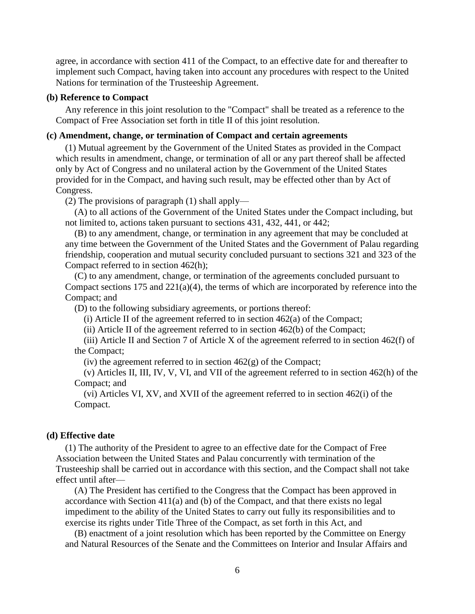agree, in accordance with section 411 of the Compact, to an effective date for and thereafter to implement such Compact, having taken into account any procedures with respect to the United Nations for termination of the Trusteeship Agreement.

### **(b) Reference to Compact**

Any reference in this joint resolution to the "Compact" shall be treated as a reference to the Compact of Free Association set forth in title II of this joint resolution.

#### **(c) Amendment, change, or termination of Compact and certain agreements**

(1) Mutual agreement by the Government of the United States as provided in the Compact which results in amendment, change, or termination of all or any part thereof shall be affected only by Act of Congress and no unilateral action by the Government of the United States provided for in the Compact, and having such result, may be effected other than by Act of Congress.

(2) The provisions of paragraph (1) shall apply—

(A) to all actions of the Government of the United States under the Compact including, but not limited to, actions taken pursuant to sections 431, 432, 441, or 442;

(B) to any amendment, change, or termination in any agreement that may be concluded at any time between the Government of the United States and the Government of Palau regarding friendship, cooperation and mutual security concluded pursuant to sections 321 and 323 of the Compact referred to in section 462(h);

(C) to any amendment, change, or termination of the agreements concluded pursuant to Compact sections 175 and 221(a)(4), the terms of which are incorporated by reference into the Compact; and

(D) to the following subsidiary agreements, or portions thereof:

(i) Article II of the agreement referred to in section  $462(a)$  of the Compact;

(ii) Article II of the agreement referred to in section 462(b) of the Compact;

(iii) Article II and Section 7 of Article X of the agreement referred to in section 462(f) of the Compact;

(iv) the agreement referred to in section  $462(g)$  of the Compact;

(v) Articles II, III, IV, V, VI, and VII of the agreement referred to in section 462(h) of the Compact; and

(vi) Articles VI, XV, and XVII of the agreement referred to in section 462(i) of the Compact.

### **(d) Effective date**

(1) The authority of the President to agree to an effective date for the Compact of Free Association between the United States and Palau concurrently with termination of the Trusteeship shall be carried out in accordance with this section, and the Compact shall not take effect until after—

(A) The President has certified to the Congress that the Compact has been approved in accordance with Section 411(a) and (b) of the Compact, and that there exists no legal impediment to the ability of the United States to carry out fully its responsibilities and to exercise its rights under Title Three of the Compact, as set forth in this Act, and

(B) enactment of a joint resolution which has been reported by the Committee on Energy and Natural Resources of the Senate and the Committees on Interior and Insular Affairs and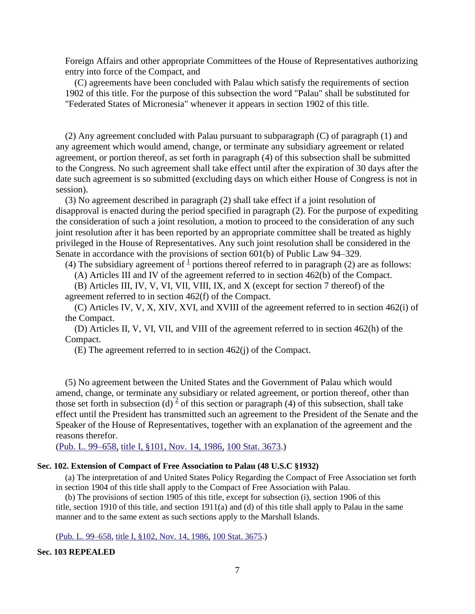Foreign Affairs and other appropriate Committees of the House of Representatives authorizing entry into force of the Compact, and

(C) agreements have been concluded with Palau which satisfy the requirements of section 1902 of this title. For the purpose of this subsection the word "Palau" shall be substituted for "Federated States of Micronesia" whenever it appears in section 1902 of this title.

(2) Any agreement concluded with Palau pursuant to subparagraph (C) of paragraph (1) and any agreement which would amend, change, or terminate any subsidiary agreement or related agreement, or portion thereof, as set forth in paragraph (4) of this subsection shall be submitted to the Congress. No such agreement shall take effect until after the expiration of 30 days after the date such agreement is so submitted (excluding days on which either House of Congress is not in session).

(3) No agreement described in paragraph (2) shall take effect if a joint resolution of disapproval is enacted during the period specified in paragraph (2). For the purpose of expediting the consideration of such a joint resolution, a motion to proceed to the consideration of any such joint resolution after it has been reported by an appropriate committee shall be treated as highly privileged in the House of Representatives. Any such joint resolution shall be considered in the Senate in accordance with the provisions of section 601(b) of Public Law 94–329.

(4) The subsidiary agreement of  $\frac{1}{2}$  $\frac{1}{2}$  $\frac{1}{2}$  portions thereof referred to in paragraph (2) are as follows:

(A) Articles III and IV of the agreement referred to in section 462(b) of the Compact.

(B) Articles III, IV, V, VI, VII, VIII, IX, and X (except for section 7 thereof) of the agreement referred to in section 462(f) of the Compact.

(C) Articles IV, V, X, XIV, XVI, and XVIII of the agreement referred to in section 462(i) of the Compact.

(D) Articles II, V, VI, VII, and VIII of the agreement referred to in section 462(h) of the Compact.

(E) The agreement referred to in section 462(j) of the Compact.

(5) No agreement between the United States and the Government of Palau which would amend, change, or terminate any subsidiary or related agreement, or portion thereof, other than those set forth in subsection (d)<sup>[2](http://uscode.house.gov/view.xhtml?path=/prelim@title48/chapter18&edition=prelim#1931_2_target)</sup> of this section or paragraph (4) of this subsection, shall take effect until the President has transmitted such an agreement to the President of the Senate and the Speaker of the House of Representatives, together with an explanation of the agreement and the reasons therefor.

(Pub. L. 99–658, [title I, §101, Nov. 14, 1986,](http://uscode.house.gov/statviewer.htm?volume=100&page=3673) 100 Stat. 3673.)

#### **Sec. 102. Extension of Compact of Free Association to Palau (48 U.S.C §1932)**

(a) The interpretation of and United States Policy Regarding the Compact of Free Association set forth in section 1904 of this title shall apply to the Compact of Free Association with Palau.

(b) The provisions of section 1905 of this title, except for subsection (i), section 1906 of this title, section 1910 of this title, and section 1911(a) and (d) of this title shall apply to Palau in the same manner and to the same extent as such sections apply to the Marshall Islands.

(Pub. L. 99–658, [title I, §102, Nov. 14, 1986,](http://uscode.house.gov/statviewer.htm?volume=100&page=3675) 100 Stat. 3675.)

#### **Sec. 103 REPEALED**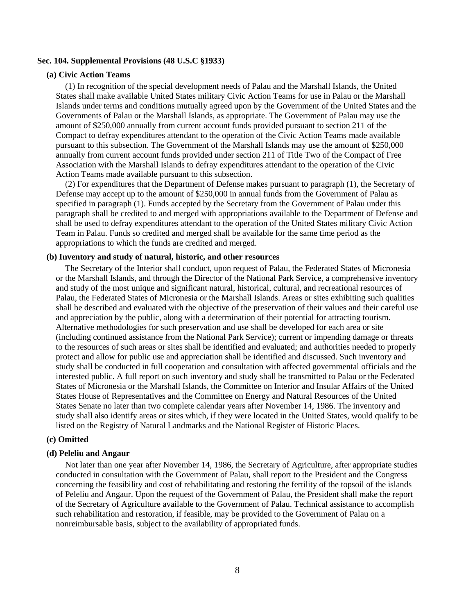#### **Sec. 104. Supplemental Provisions (48 U.S.C §1933)**

#### **(a) Civic Action Teams**

(1) In recognition of the special development needs of Palau and the Marshall Islands, the United States shall make available United States military Civic Action Teams for use in Palau or the Marshall Islands under terms and conditions mutually agreed upon by the Government of the United States and the Governments of Palau or the Marshall Islands, as appropriate. The Government of Palau may use the amount of \$250,000 annually from current account funds provided pursuant to section 211 of the Compact to defray expenditures attendant to the operation of the Civic Action Teams made available pursuant to this subsection. The Government of the Marshall Islands may use the amount of \$250,000 annually from current account funds provided under section 211 of Title Two of the Compact of Free Association with the Marshall Islands to defray expenditures attendant to the operation of the Civic Action Teams made available pursuant to this subsection.

(2) For expenditures that the Department of Defense makes pursuant to paragraph (1), the Secretary of Defense may accept up to the amount of \$250,000 in annual funds from the Government of Palau as specified in paragraph (1). Funds accepted by the Secretary from the Government of Palau under this paragraph shall be credited to and merged with appropriations available to the Department of Defense and shall be used to defray expenditures attendant to the operation of the United States military Civic Action Team in Palau. Funds so credited and merged shall be available for the same time period as the appropriations to which the funds are credited and merged.

### **(b) Inventory and study of natural, historic, and other resources**

The Secretary of the Interior shall conduct, upon request of Palau, the Federated States of Micronesia or the Marshall Islands, and through the Director of the National Park Service, a comprehensive inventory and study of the most unique and significant natural, historical, cultural, and recreational resources of Palau, the Federated States of Micronesia or the Marshall Islands. Areas or sites exhibiting such qualities shall be described and evaluated with the objective of the preservation of their values and their careful use and appreciation by the public, along with a determination of their potential for attracting tourism. Alternative methodologies for such preservation and use shall be developed for each area or site (including continued assistance from the National Park Service); current or impending damage or threats to the resources of such areas or sites shall be identified and evaluated; and authorities needed to properly protect and allow for public use and appreciation shall be identified and discussed. Such inventory and study shall be conducted in full cooperation and consultation with affected governmental officials and the interested public. A full report on such inventory and study shall be transmitted to Palau or the Federated States of Micronesia or the Marshall Islands, the Committee on Interior and Insular Affairs of the United States House of Representatives and the Committee on Energy and Natural Resources of the United States Senate no later than two complete calendar years after November 14, 1986. The inventory and study shall also identify areas or sites which, if they were located in the United States, would qualify to be listed on the Registry of Natural Landmarks and the National Register of Historic Places.

#### **(c) Omitted**

#### **(d) Peleliu and Angaur**

Not later than one year after November 14, 1986, the Secretary of Agriculture, after appropriate studies conducted in consultation with the Government of Palau, shall report to the President and the Congress concerning the feasibility and cost of rehabilitating and restoring the fertility of the topsoil of the islands of Peleliu and Angaur. Upon the request of the Government of Palau, the President shall make the report of the Secretary of Agriculture available to the Government of Palau. Technical assistance to accomplish such rehabilitation and restoration, if feasible, may be provided to the Government of Palau on a nonreimbursable basis, subject to the availability of appropriated funds.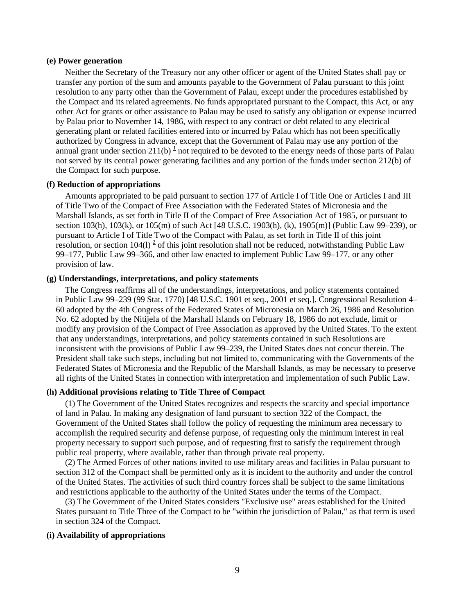#### **(e) Power generation**

Neither the Secretary of the Treasury nor any other officer or agent of the United States shall pay or transfer any portion of the sum and amounts payable to the Government of Palau pursuant to this joint resolution to any party other than the Government of Palau, except under the procedures established by the Compact and its related agreements. No funds appropriated pursuant to the Compact, this Act, or any other Act for grants or other assistance to Palau may be used to satisfy any obligation or expense incurred by Palau prior to November 14, 1986, with respect to any contract or debt related to any electrical generating plant or related facilities entered into or incurred by Palau which has not been specifically authorized by Congress in advance, except that the Government of Palau may use any portion of the annual grant under section  $211(b)$  $211(b)$  $211(b)$ <sup>1</sup> not required to be devoted to the energy needs of those parts of Palau not served by its central power generating facilities and any portion of the funds under section 212(b) of the Compact for such purpose.

#### **(f) Reduction of appropriations**

Amounts appropriated to be paid pursuant to section 177 of Article I of Title One or Articles I and III of Title Two of the Compact of Free Association with the Federated States of Micronesia and the Marshall Islands, as set forth in Title II of the Compact of Free Association Act of 1985, or pursuant to section 103(h), 103(k), or 105(m) of such Act [48 U.S.C. 1903(h), (k), 1905(m)] (Public Law 99–239), or pursuant to Article I of Title Two of the Compact with Palau, as set forth in Title II of this joint resolution, or section  $104(1)^2$  $104(1)^2$  of this joint resolution shall not be reduced, notwithstanding Public Law 99–177, Public Law 99–366, and other law enacted to implement Public Law 99–177, or any other provision of law.

#### **(g) Understandings, interpretations, and policy statements**

The Congress reaffirms all of the understandings, interpretations, and policy statements contained in Public Law 99–239 (99 Stat. 1770) [48 U.S.C. 1901 et seq., 2001 et seq.]. Congressional Resolution 4– 60 adopted by the 4th Congress of the Federated States of Micronesia on March 26, 1986 and Resolution No. 62 adopted by the Nitijela of the Marshall Islands on February 18, 1986 do not exclude, limit or modify any provision of the Compact of Free Association as approved by the United States. To the extent that any understandings, interpretations, and policy statements contained in such Resolutions are inconsistent with the provisions of Public Law 99–239, the United States does not concur therein. The President shall take such steps, including but not limited to, communicating with the Governments of the Federated States of Micronesia and the Republic of the Marshall Islands, as may be necessary to preserve all rights of the United States in connection with interpretation and implementation of such Public Law.

### **(h) Additional provisions relating to Title Three of Compact**

(1) The Government of the United States recognizes and respects the scarcity and special importance of land in Palau. In making any designation of land pursuant to section 322 of the Compact, the Government of the United States shall follow the policy of requesting the minimum area necessary to accomplish the required security and defense purpose, of requesting only the minimum interest in real property necessary to support such purpose, and of requesting first to satisfy the requirement through public real property, where available, rather than through private real property.

(2) The Armed Forces of other nations invited to use military areas and facilities in Palau pursuant to section 312 of the Compact shall be permitted only as it is incident to the authority and under the control of the United States. The activities of such third country forces shall be subject to the same limitations and restrictions applicable to the authority of the United States under the terms of the Compact.

(3) The Government of the United States considers "Exclusive use" areas established for the United States pursuant to Title Three of the Compact to be "within the jurisdiction of Palau," as that term is used in section 324 of the Compact.

#### **(i) Availability of appropriations**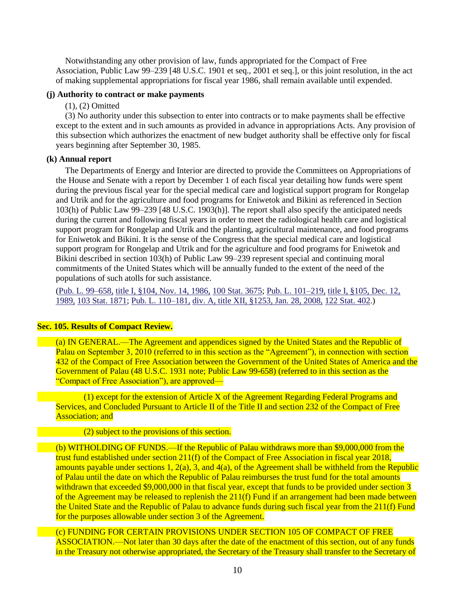Notwithstanding any other provision of law, funds appropriated for the Compact of Free Association, Public Law 99–239 [48 U.S.C. 1901 et seq., 2001 et seq.], or this joint resolution, in the act of making supplemental appropriations for fiscal year 1986, shall remain available until expended.

#### **(j) Authority to contract or make payments**

### (1), (2) Omitted

(3) No authority under this subsection to enter into contracts or to make payments shall be effective except to the extent and in such amounts as provided in advance in appropriations Acts. Any provision of this subsection which authorizes the enactment of new budget authority shall be effective only for fiscal years beginning after September 30, 1985.

### **(k) Annual report**

The Departments of Energy and Interior are directed to provide the Committees on Appropriations of the House and Senate with a report by December 1 of each fiscal year detailing how funds were spent during the previous fiscal year for the special medical care and logistical support program for Rongelap and Utrik and for the agriculture and food programs for Eniwetok and Bikini as referenced in Section 103(h) of Public Law 99–239 [48 U.S.C. 1903(h)]. The report shall also specify the anticipated needs during the current and following fiscal years in order to meet the radiological health care and logistical support program for Rongelap and Utrik and the planting, agricultural maintenance, and food programs for Eniwetok and Bikini. It is the sense of the Congress that the special medical care and logistical support program for Rongelap and Utrik and for the agriculture and food programs for Eniwetok and Bikini described in section 103(h) of Public Law 99–239 represent special and continuing moral commitments of the United States which will be annually funded to the extent of the need of the populations of such atolls for such assistance.

(Pub. L. 99–658, [title I, §104, Nov. 14, 1986,](http://uscode.house.gov/statviewer.htm?volume=100&page=3675) 100 Stat. 3675; Pub. L. 101–219, [title I, §105, Dec. 12,](http://uscode.house.gov/statviewer.htm?volume=103&page=1871)  1989, [103 Stat. 1871;](http://uscode.house.gov/statviewer.htm?volume=103&page=1871) Pub. L. 110–181, [div. A, title XII, §1253, Jan. 28, 2008,](http://uscode.house.gov/statviewer.htm?volume=122&page=402) 122 Stat. 402.)

### **Sec. 105. Results of Compact Review.**

(a) IN GENERAL.—The Agreement and appendices signed by the United States and the Republic of Palau on September 3, 2010 (referred to in this section as the "Agreement"), in connection with section 432 of the Compact of Free Association between the Government of the United States of America and the Government of Palau (48 U.S.C. 1931 note; Public Law 99-658) (referred to in this section as the "Compact of Free Association"), are approved—

(1) except for the extension of Article X of the Agreement Regarding Federal Programs and Services, and Concluded Pursuant to Article II of the Title II and section 232 of the Compact of Free **Association: and** 

### (2) subject to the provisions of this section.

(b) WITHOLDING OF FUNDS.—If the Republic of Palau withdraws more than \$9,000,000 from the trust fund established under section 211(f) of the Compact of Free Association in fiscal year 2018, amounts payable under sections 1,  $2(a)$ , 3, and  $4(a)$ , of the Agreement shall be withheld from the Republic of Palau until the date on which the Republic of Palau reimburses the trust fund for the total amounts withdrawn that exceeded \$9,000,000 in that fiscal year, except that funds to be provided under section 3 of the Agreement may be released to replenish the 211(f) Fund if an arrangement had been made between the United State and the Republic of Palau to advance funds during such fiscal year from the 211(f) Fund for the purposes allowable under section 3 of the Agreement.

(c) FUNDING FOR CERTAIN PROVISIONS UNDER SECTION 105 OF COMPACT OF FREE ASSOCIATION.—Not later than 30 days after the date of the enactment of this section, out of any funds in the Treasury not otherwise appropriated, the Secretary of the Treasury shall transfer to the Secretary of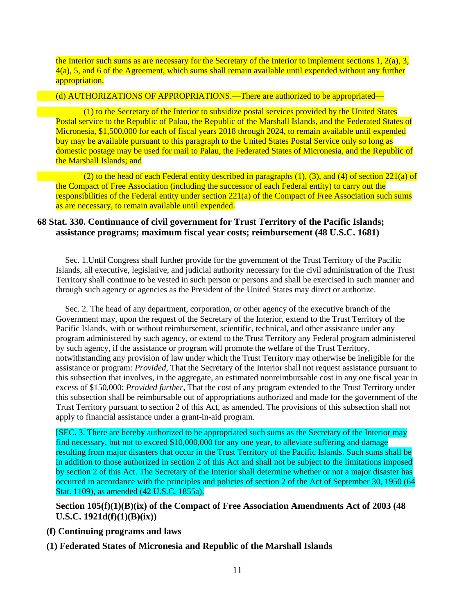the Interior such sums as are necessary for the Secretary of the Interior to implement sections 1,  $2(a)$ , 3,  $4(a)$ , 5, and 6 of the Agreement, which sums shall remain available until expended without any further appropriation.

### (d) AUTHORIZATIONS OF APPROPRIATIONS.—There are authorized to be appropriated—

(1) to the Secretary of the Interior to subsidize postal services provided by the United States Postal service to the Republic of Palau, the Republic of the Marshall Islands, and the Federated States of Micronesia, \$1,500,000 for each of fiscal years 2018 through 2024, to remain available until expended buy may be available pursuant to this paragraph to the United States Postal Service only so long as domestic postage may be used for mail to Palau, the Federated States of Micronesia, and the Republic of the Marshall Islands; and

(2) to the head of each Federal entity described in paragraphs (1), (3), and (4) of section 221(a) of the Compact of Free Association (including the successor of each Federal entity) to carry out the responsibilities of the Federal entity under section 221(a) of the Compact of Free Association such sums as are necessary, to remain available until expended.

### **68 Stat. 330. Continuance of civil government for Trust Territory of the Pacific Islands; assistance programs; maximum fiscal year costs; reimbursement (48 U.S.C. 1681)**

Sec. 1.Until Congress shall further provide for the government of the Trust Territory of the Pacific Islands, all executive, legislative, and judicial authority necessary for the civil administration of the Trust Territory shall continue to be vested in such person or persons and shall be exercised in such manner and through such agency or agencies as the President of the United States may direct or authorize.

Sec. 2. The head of any department, corporation, or other agency of the executive branch of the Government may, upon the request of the Secretary of the Interior, extend to the Trust Territory of the Pacific Islands, with or without reimbursement, scientific, technical, and other assistance under any program administered by such agency, or extend to the Trust Territory any Federal program administered by such agency, if the assistance or program will promote the welfare of the Trust Territory, notwithstanding any provision of law under which the Trust Territory may otherwise be ineligible for the assistance or program: *Provided*, That the Secretary of the Interior shall not request assistance pursuant to this subsection that involves, in the aggregate, an estimated nonreimbursable cost in any one fiscal year in excess of \$150,000: *Provided further*, That the cost of any program extended to the Trust Territory under this subsection shall be reimbursable out of appropriations authorized and made for the government of the Trust Territory pursuant to section 2 of this Act, as amended. The provisions of this subsection shall not apply to financial assistance under a grant-in-aid program.

[SEC. 3. There are hereb**y** authorized to be appropriated such sums as the Secretary of the Interior may find necessary, but not to exceed \$10,000,000 for any one year, to alleviate suffering and damage resulting from major disasters that occur in the Trust Territory of the Pacific Islands. Such sums shall be in addition to those authorized in section 2 of this Act and shall not be subject to the limitations imposed by section 2 of this Act. The Secretary of the Interior shall determine whether or not a major disaster has occurred in accordance with the principles and policies of section 2 of the Act of September 30, 1950 (64 Stat. 1109), as amended (42 U.S.C. 1855a).

**Section 105(f)(1)(B)(ix) of the Compact of Free Association Amendments Act of 2003 (48 U.S.C. 1921d(f)(1)(B)(ix))**

- **(f) Continuing programs and laws**
- **(1) Federated States of Micronesia and Republic of the Marshall Islands**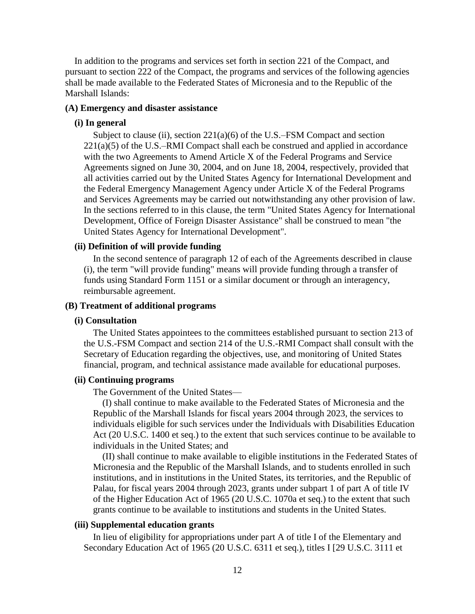In addition to the programs and services set forth in section 221 of the Compact, and pursuant to section 222 of the Compact, the programs and services of the following agencies shall be made available to the Federated States of Micronesia and to the Republic of the Marshall Islands:

### **(A) Emergency and disaster assistance**

### **(i) In general**

Subject to clause (ii), section  $221(a)(6)$  of the U.S.–FSM Compact and section  $221(a)(5)$  of the U.S.–RMI Compact shall each be construed and applied in accordance with the two Agreements to Amend Article X of the Federal Programs and Service Agreements signed on June 30, 2004, and on June 18, 2004, respectively, provided that all activities carried out by the United States Agency for International Development and the Federal Emergency Management Agency under Article X of the Federal Programs and Services Agreements may be carried out notwithstanding any other provision of law. In the sections referred to in this clause, the term "United States Agency for International Development, Office of Foreign Disaster Assistance" shall be construed to mean "the United States Agency for International Development".

### **(ii) Definition of will provide funding**

In the second sentence of paragraph 12 of each of the Agreements described in clause (i), the term "will provide funding" means will provide funding through a transfer of funds using Standard Form 1151 or a similar document or through an interagency, reimbursable agreement.

### **(B) Treatment of additional programs**

#### **(i) Consultation**

The United States appointees to the committees established pursuant to section 213 of the U.S.-FSM Compact and section 214 of the U.S.-RMI Compact shall consult with the Secretary of Education regarding the objectives, use, and monitoring of United States financial, program, and technical assistance made available for educational purposes.

#### **(ii) Continuing programs**

The Government of the United States—

(I) shall continue to make available to the Federated States of Micronesia and the Republic of the Marshall Islands for fiscal years 2004 through 2023, the services to individuals eligible for such services under the Individuals with Disabilities Education Act (20 U.S.C. 1400 et seq.) to the extent that such services continue to be available to individuals in the United States; and

(II) shall continue to make available to eligible institutions in the Federated States of Micronesia and the Republic of the Marshall Islands, and to students enrolled in such institutions, and in institutions in the United States, its territories, and the Republic of Palau, for fiscal years 2004 through 2023, grants under subpart 1 of part A of title IV of the Higher Education Act of 1965 (20 U.S.C. 1070a et seq.) to the extent that such grants continue to be available to institutions and students in the United States.

### **(iii) Supplemental education grants**

In lieu of eligibility for appropriations under part A of title I of the Elementary and Secondary Education Act of 1965 (20 U.S.C. 6311 et seq.), titles I [29 U.S.C. 3111 et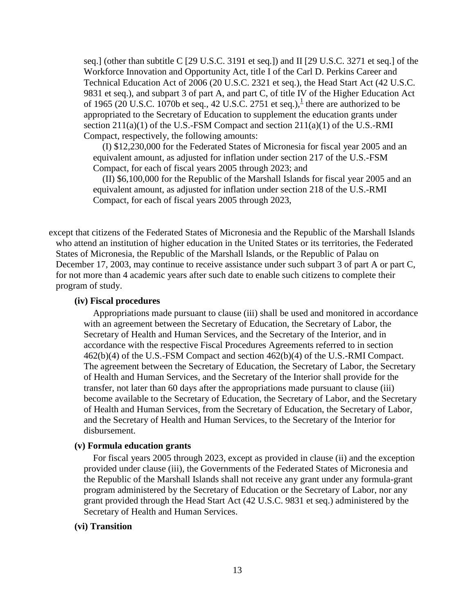seq.] (other than subtitle C [29 U.S.C. 3191 et seq.]) and II [29 U.S.C. 3271 et seq.] of the Workforce Innovation and Opportunity Act, title I of the Carl D. Perkins Career and Technical Education Act of 2006 (20 U.S.C. 2321 et seq.), the Head Start Act (42 U.S.C. 9831 et seq.), and subpart 3 of part A, and part C, of title IV of the Higher Education Act of [1](http://uscode.house.gov/view.xhtml?path=/prelim@title48/chapter18&edition=prelim#1921d_1_target)965 (20 U.S.C. 1070b et seq., 42 U.S.C. 2751 et seq.), $\frac{1}{2}$  there are authorized to be appropriated to the Secretary of Education to supplement the education grants under section  $211(a)(1)$  of the U.S.-FSM Compact and section  $211(a)(1)$  of the U.S.-RMI Compact, respectively, the following amounts:

(I) \$12,230,000 for the Federated States of Micronesia for fiscal year 2005 and an equivalent amount, as adjusted for inflation under section 217 of the U.S.-FSM Compact, for each of fiscal years 2005 through 2023; and

(II) \$6,100,000 for the Republic of the Marshall Islands for fiscal year 2005 and an equivalent amount, as adjusted for inflation under section 218 of the U.S.-RMI Compact, for each of fiscal years 2005 through 2023,

except that citizens of the Federated States of Micronesia and the Republic of the Marshall Islands who attend an institution of higher education in the United States or its territories, the Federated States of Micronesia, the Republic of the Marshall Islands, or the Republic of Palau on December 17, 2003, may continue to receive assistance under such subpart 3 of part A or part C, for not more than 4 academic years after such date to enable such citizens to complete their program of study.

#### **(iv) Fiscal procedures**

Appropriations made pursuant to clause (iii) shall be used and monitored in accordance with an agreement between the Secretary of Education, the Secretary of Labor, the Secretary of Health and Human Services, and the Secretary of the Interior, and in accordance with the respective Fiscal Procedures Agreements referred to in section 462(b)(4) of the U.S.-FSM Compact and section 462(b)(4) of the U.S.-RMI Compact. The agreement between the Secretary of Education, the Secretary of Labor, the Secretary of Health and Human Services, and the Secretary of the Interior shall provide for the transfer, not later than 60 days after the appropriations made pursuant to clause (iii) become available to the Secretary of Education, the Secretary of Labor, and the Secretary of Health and Human Services, from the Secretary of Education, the Secretary of Labor, and the Secretary of Health and Human Services, to the Secretary of the Interior for disbursement.

#### **(v) Formula education grants**

For fiscal years 2005 through 2023, except as provided in clause (ii) and the exception provided under clause (iii), the Governments of the Federated States of Micronesia and the Republic of the Marshall Islands shall not receive any grant under any formula-grant program administered by the Secretary of Education or the Secretary of Labor, nor any grant provided through the Head Start Act (42 U.S.C. 9831 et seq.) administered by the Secretary of Health and Human Services.

### **(vi) Transition**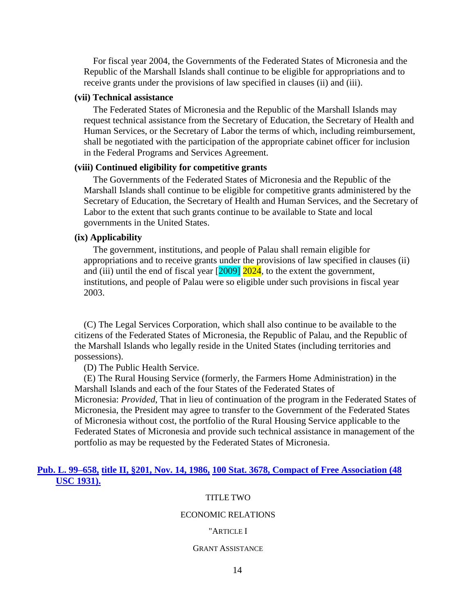For fiscal year 2004, the Governments of the Federated States of Micronesia and the Republic of the Marshall Islands shall continue to be eligible for appropriations and to receive grants under the provisions of law specified in clauses (ii) and (iii).

### **(vii) Technical assistance**

The Federated States of Micronesia and the Republic of the Marshall Islands may request technical assistance from the Secretary of Education, the Secretary of Health and Human Services, or the Secretary of Labor the terms of which, including reimbursement, shall be negotiated with the participation of the appropriate cabinet officer for inclusion in the Federal Programs and Services Agreement.

### **(viii) Continued eligibility for competitive grants**

The Governments of the Federated States of Micronesia and the Republic of the Marshall Islands shall continue to be eligible for competitive grants administered by the Secretary of Education, the Secretary of Health and Human Services, and the Secretary of Labor to the extent that such grants continue to be available to State and local governments in the United States.

#### **(ix) Applicability**

The government, institutions, and people of Palau shall remain eligible for appropriations and to receive grants under the provisions of law specified in clauses (ii) and (iii) until the end of fiscal year  $\left[2009\right]$   $\left[2024\right]$ , to the extent the government, institutions, and people of Palau were so eligible under such provisions in fiscal year 2003.

(C) The Legal Services Corporation, which shall also continue to be available to the citizens of the Federated States of Micronesia, the Republic of Palau, and the Republic of the Marshall Islands who legally reside in the United States (including territories and possessions).

(D) The Public Health Service.

(E) The Rural Housing Service (formerly, the Farmers Home Administration) in the Marshall Islands and each of the four States of the Federated States of Micronesia: *Provided*, That in lieu of continuation of the program in the Federated States of Micronesia, the President may agree to transfer to the Government of the Federated States of Micronesia without cost, the portfolio of the Rural Housing Service applicable to the Federated States of Micronesia and provide such technical assistance in management of the portfolio as may be requested by the Federated States of Micronesia.

### **Pub. L. 99–658, title II, §201, Nov. 14, 1986, [100 Stat. 3678, Compact of Free Association \(48](http://uscode.house.gov/statviewer.htm?volume=100&page=3678)  [USC 1931\).](http://uscode.house.gov/statviewer.htm?volume=100&page=3678)**

#### TITLE TWO

#### ECONOMIC RELATIONS

#### "ARTICLE I

#### GRANT ASSISTANCE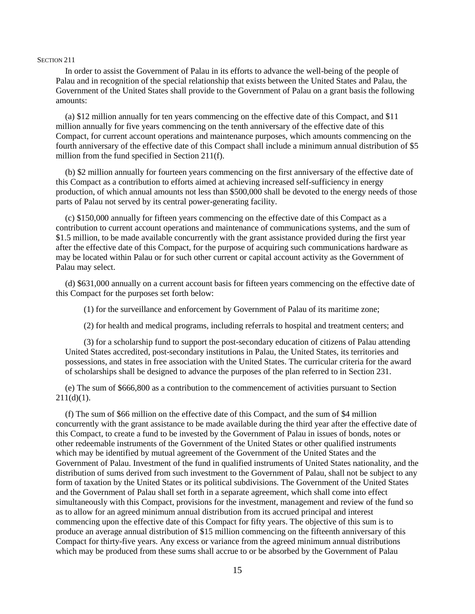#### SECTION 211

In order to assist the Government of Palau in its efforts to advance the well-being of the people of Palau and in recognition of the special relationship that exists between the United States and Palau, the Government of the United States shall provide to the Government of Palau on a grant basis the following amounts:

(a) \$12 million annually for ten years commencing on the effective date of this Compact, and \$11 million annually for five years commencing on the tenth anniversary of the effective date of this Compact, for current account operations and maintenance purposes, which amounts commencing on the fourth anniversary of the effective date of this Compact shall include a minimum annual distribution of \$5 million from the fund specified in Section 211(f).

(b) \$2 million annually for fourteen years commencing on the first anniversary of the effective date of this Compact as a contribution to efforts aimed at achieving increased self-sufficiency in energy production, of which annual amounts not less than \$500,000 shall be devoted to the energy needs of those parts of Palau not served by its central power-generating facility.

(c) \$150,000 annually for fifteen years commencing on the effective date of this Compact as a contribution to current account operations and maintenance of communications systems, and the sum of \$1.5 million, to be made available concurrently with the grant assistance provided during the first year after the effective date of this Compact, for the purpose of acquiring such communications hardware as may be located within Palau or for such other current or capital account activity as the Government of Palau may select.

(d) \$631,000 annually on a current account basis for fifteen years commencing on the effective date of this Compact for the purposes set forth below:

(1) for the surveillance and enforcement by Government of Palau of its maritime zone;

(2) for health and medical programs, including referrals to hospital and treatment centers; and

(3) for a scholarship fund to support the post-secondary education of citizens of Palau attending United States accredited, post-secondary institutions in Palau, the United States, its territories and possessions, and states in free association with the United States. The curricular criteria for the award of scholarships shall be designed to advance the purposes of the plan referred to in Section 231.

(e) The sum of \$666,800 as a contribution to the commencement of activities pursuant to Section  $211(d)(1)$ .

(f) The sum of \$66 million on the effective date of this Compact, and the sum of \$4 million concurrently with the grant assistance to be made available during the third year after the effective date of this Compact, to create a fund to be invested by the Government of Palau in issues of bonds, notes or other redeemable instruments of the Government of the United States or other qualified instruments which may be identified by mutual agreement of the Government of the United States and the Government of Palau. Investment of the fund in qualified instruments of United States nationality, and the distribution of sums derived from such investment to the Government of Palau, shall not be subject to any form of taxation by the United States or its political subdivisions. The Government of the United States and the Government of Palau shall set forth in a separate agreement, which shall come into effect simultaneously with this Compact, provisions for the investment, management and review of the fund so as to allow for an agreed minimum annual distribution from its accrued principal and interest commencing upon the effective date of this Compact for fifty years. The objective of this sum is to produce an average annual distribution of \$15 million commencing on the fifteenth anniversary of this Compact for thirty-five years. Any excess or variance from the agreed minimum annual distributions which may be produced from these sums shall accrue to or be absorbed by the Government of Palau